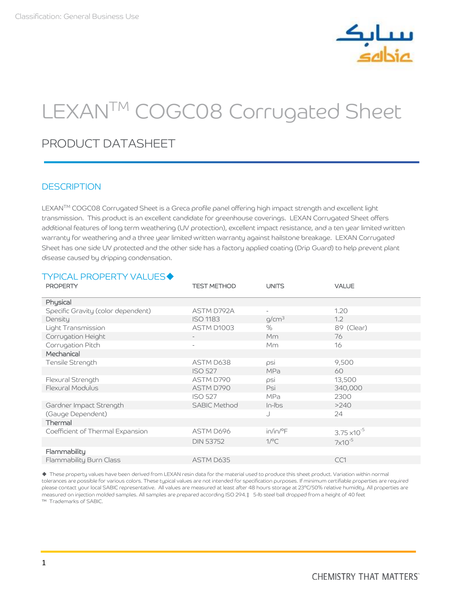

# LEXANTM COGC08 Corrugated Sheet

# PRODUCT DATASHEET

## **DESCRIPTION**

LEXAN™ COGC08 Corrugated Sheet is a Greca profile panel offering high impact strength and excellent light transmission. This product is an excellent candidate for greenhouse coverings. LEXAN Corrugated Sheet offers additional features of long term weathering (UV protection), excellent impact resistance, and a ten year limited written warranty for weathering and a three year limited written warranty against hailstone breakage. LEXAN Corrugated Sheet has one side UV protected and the other side has a factory applied coating (Drip Guard) to help prevent plant disease caused by dripping condensation.

# **TYPICAL PROPERTY VALUES◆**

| <b>PROPERTY</b>                    | <b>TEST METHOD</b>  | <b>UNITS</b>             | <b>VALUE</b>          |
|------------------------------------|---------------------|--------------------------|-----------------------|
| Physical                           |                     |                          |                       |
| Specific Gravity (color dependent) | ASTM D792A          | $\overline{\phantom{a}}$ | 1.20                  |
| Density                            | <b>ISO 1183</b>     | q/cm <sup>3</sup>        | 1.2                   |
| Light Transmission                 | ASTM D1003          | $\%$                     | 89 (Clear)            |
| Corrugation Height                 | $\qquad \qquad -$   | Mm                       | 76                    |
| Corrugation Pitch                  |                     | Mm                       | 16                    |
| Mechanical                         |                     |                          |                       |
| Tensile Strength                   | ASTM D638           | psi                      | 9,500                 |
|                                    | <b>ISO 527</b>      | <b>MPa</b>               | 60                    |
| Flexural Strength                  | ASTM D790           | psi                      | 13,500                |
| Flexural Modulus                   | ASTM D790           | Psi                      | 340,000               |
|                                    | <b>ISO 527</b>      | MPa                      | 2300                  |
| Gardner Impact Strength            | <b>SABIC Method</b> | $In-Ibs$                 | >240                  |
| (Gauge Dependent)                  |                     |                          | 24                    |
| Thermal                            |                     |                          |                       |
| Coefficient of Thermal Expansion   | ASTM D696           | $in/in/{}^{\circ}F$      | $3.75 \times 10^{-5}$ |
|                                    | <b>DIN 53752</b>    | $1$ / $\degree$ C        | $7\times10^{-5}$      |
| Flammability                       |                     |                          |                       |
| Flammability Burn Class            | ASTM D635           |                          | CC1                   |

 These property values have been derived from LEXAN resin data for the material used to produce this sheet product. Variation within normal tolerances are possible for various colors. These typical values are not intended for specification purposes. If minimum certifiable properties are required please contact your local SABIC representative. All values are measured at least after 48 hours storage at 23°C/50% relative humidity. All properties are measured on injection molded samples. All samples are prepared according ISO 294.‡ 5-lb steel ball dropped from a height of 40 feet ™ Trademarks of SABIC.